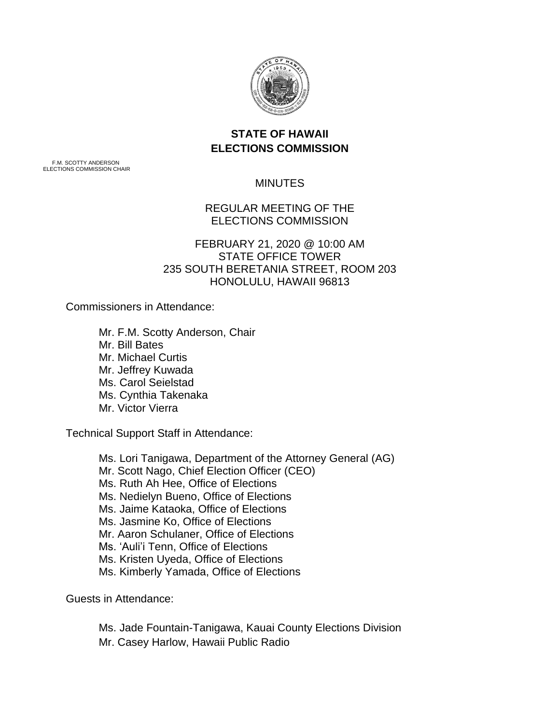

## **STATE OF HAWAII ELECTIONS COMMISSION**

F.M. SCOTTY ANDERSON ELECTIONS COMMISSION CHAIR

MINUTES

REGULAR MEETING OF THE ELECTIONS COMMISSION

FEBRUARY 21, 2020 @ 10:00 AM STATE OFFICE TOWER 235 SOUTH BERETANIA STREET, ROOM 203 HONOLULU, HAWAII 96813

Commissioners in Attendance:

Mr. F.M. Scotty Anderson, Chair Mr. Bill Bates Mr. Michael Curtis Mr. Jeffrey Kuwada Ms. Carol Seielstad Ms. Cynthia Takenaka Mr. Victor Vierra

Technical Support Staff in Attendance:

Ms. Lori Tanigawa, Department of the Attorney General (AG) Mr. Scott Nago, Chief Election Officer (CEO) Ms. Ruth Ah Hee, Office of Elections Ms. Nedielyn Bueno, Office of Elections Ms. Jaime Kataoka, Office of Elections Ms. Jasmine Ko, Office of Elections Mr. Aaron Schulaner, Office of Elections Ms. 'Auli'i Tenn, Office of Elections Ms. Kristen Uyeda, Office of Elections Ms. Kimberly Yamada, Office of Elections

Guests in Attendance:

Ms. Jade Fountain-Tanigawa, Kauai County Elections Division

Mr. Casey Harlow, Hawaii Public Radio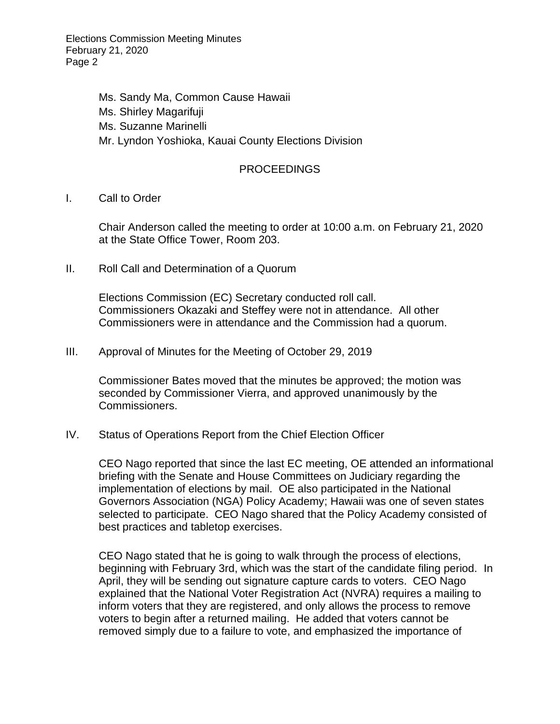Elections Commission Meeting Minutes February 21, 2020 Page 2

> Ms. Sandy Ma, Common Cause Hawaii Ms. Shirley Magarifuji Ms. Suzanne Marinelli Mr. Lyndon Yoshioka, Kauai County Elections Division

## PROCEEDINGS

I. Call to Order

Chair Anderson called the meeting to order at 10:00 a.m. on February 21, 2020 at the State Office Tower, Room 203.

II. Roll Call and Determination of a Quorum

Elections Commission (EC) Secretary conducted roll call. Commissioners Okazaki and Steffey were not in attendance. All other Commissioners were in attendance and the Commission had a quorum.

III. Approval of Minutes for the Meeting of October 29, 2019

Commissioner Bates moved that the minutes be approved; the motion was seconded by Commissioner Vierra, and approved unanimously by the Commissioners.

IV. Status of Operations Report from the Chief Election Officer

CEO Nago reported that since the last EC meeting, OE attended an informational briefing with the Senate and House Committees on Judiciary regarding the implementation of elections by mail. OE also participated in the National Governors Association (NGA) Policy Academy; Hawaii was one of seven states selected to participate. CEO Nago shared that the Policy Academy consisted of best practices and tabletop exercises.

CEO Nago stated that he is going to walk through the process of elections, beginning with February 3rd, which was the start of the candidate filing period. In April, they will be sending out signature capture cards to voters. CEO Nago explained that the National Voter Registration Act (NVRA) requires a mailing to inform voters that they are registered, and only allows the process to remove voters to begin after a returned mailing. He added that voters cannot be removed simply due to a failure to vote, and emphasized the importance of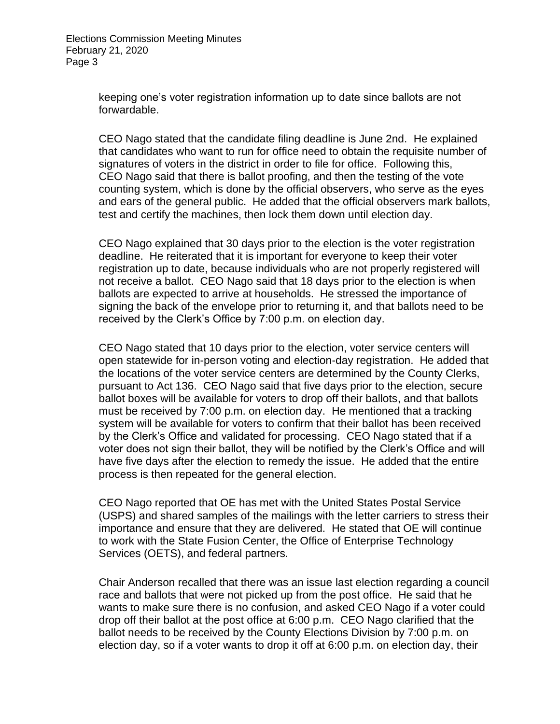keeping one's voter registration information up to date since ballots are not forwardable.

CEO Nago stated that the candidate filing deadline is June 2nd. He explained that candidates who want to run for office need to obtain the requisite number of signatures of voters in the district in order to file for office. Following this, CEO Nago said that there is ballot proofing, and then the testing of the vote counting system, which is done by the official observers, who serve as the eyes and ears of the general public. He added that the official observers mark ballots, test and certify the machines, then lock them down until election day.

CEO Nago explained that 30 days prior to the election is the voter registration deadline. He reiterated that it is important for everyone to keep their voter registration up to date, because individuals who are not properly registered will not receive a ballot. CEO Nago said that 18 days prior to the election is when ballots are expected to arrive at households. He stressed the importance of signing the back of the envelope prior to returning it, and that ballots need to be received by the Clerk's Office by 7:00 p.m. on election day.

CEO Nago stated that 10 days prior to the election, voter service centers will open statewide for in-person voting and election-day registration. He added that the locations of the voter service centers are determined by the County Clerks, pursuant to Act 136. CEO Nago said that five days prior to the election, secure ballot boxes will be available for voters to drop off their ballots, and that ballots must be received by 7:00 p.m. on election day. He mentioned that a tracking system will be available for voters to confirm that their ballot has been received by the Clerk's Office and validated for processing. CEO Nago stated that if a voter does not sign their ballot, they will be notified by the Clerk's Office and will have five days after the election to remedy the issue. He added that the entire process is then repeated for the general election.

CEO Nago reported that OE has met with the United States Postal Service (USPS) and shared samples of the mailings with the letter carriers to stress their importance and ensure that they are delivered. He stated that OE will continue to work with the State Fusion Center, the Office of Enterprise Technology Services (OETS), and federal partners.

Chair Anderson recalled that there was an issue last election regarding a council race and ballots that were not picked up from the post office. He said that he wants to make sure there is no confusion, and asked CEO Nago if a voter could drop off their ballot at the post office at 6:00 p.m. CEO Nago clarified that the ballot needs to be received by the County Elections Division by 7:00 p.m. on election day, so if a voter wants to drop it off at 6:00 p.m. on election day, their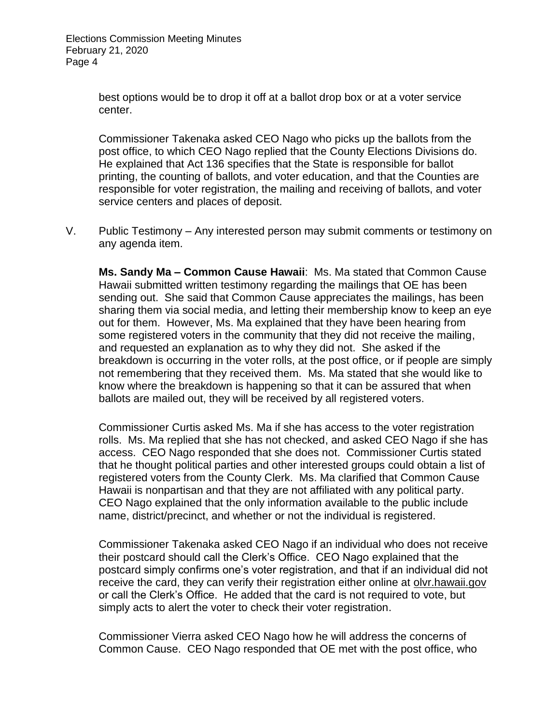best options would be to drop it off at a ballot drop box or at a voter service center.

Commissioner Takenaka asked CEO Nago who picks up the ballots from the post office, to which CEO Nago replied that the County Elections Divisions do. He explained that Act 136 specifies that the State is responsible for ballot printing, the counting of ballots, and voter education, and that the Counties are responsible for voter registration, the mailing and receiving of ballots, and voter service centers and places of deposit.

V. Public Testimony – Any interested person may submit comments or testimony on any agenda item.

**Ms. Sandy Ma – Common Cause Hawaii**: Ms. Ma stated that Common Cause Hawaii submitted written testimony regarding the mailings that OE has been sending out. She said that Common Cause appreciates the mailings, has been sharing them via social media, and letting their membership know to keep an eye out for them. However, Ms. Ma explained that they have been hearing from some registered voters in the community that they did not receive the mailing, and requested an explanation as to why they did not. She asked if the breakdown is occurring in the voter rolls, at the post office, or if people are simply not remembering that they received them. Ms. Ma stated that she would like to know where the breakdown is happening so that it can be assured that when ballots are mailed out, they will be received by all registered voters.

Commissioner Curtis asked Ms. Ma if she has access to the voter registration rolls. Ms. Ma replied that she has not checked, and asked CEO Nago if she has access. CEO Nago responded that she does not. Commissioner Curtis stated that he thought political parties and other interested groups could obtain a list of registered voters from the County Clerk. Ms. Ma clarified that Common Cause Hawaii is nonpartisan and that they are not affiliated with any political party. CEO Nago explained that the only information available to the public include name, district/precinct, and whether or not the individual is registered.

Commissioner Takenaka asked CEO Nago if an individual who does not receive their postcard should call the Clerk's Office. CEO Nago explained that the postcard simply confirms one's voter registration, and that if an individual did not receive the card, they can verify their registration either online at olvr.hawaii.gov or call the Clerk's Office. He added that the card is not required to vote, but simply acts to alert the voter to check their voter registration.

Commissioner Vierra asked CEO Nago how he will address the concerns of Common Cause. CEO Nago responded that OE met with the post office, who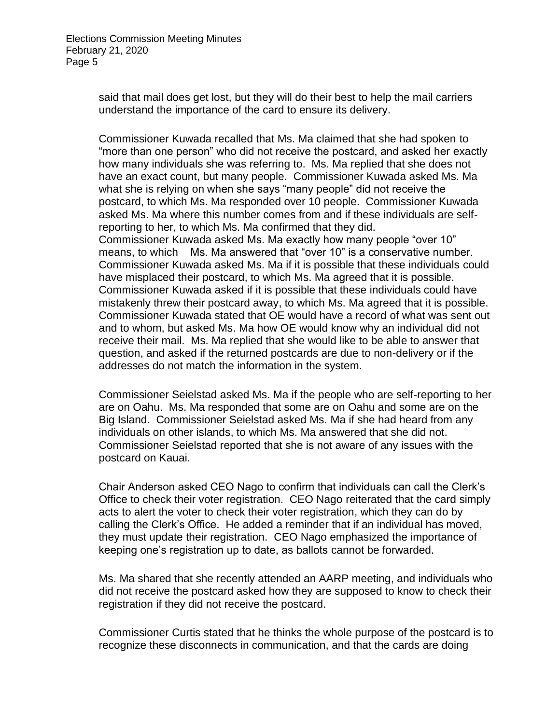said that mail does get lost, but they will do their best to help the mail carriers understand the importance of the card to ensure its delivery.

Commissioner Kuwada recalled that Ms. Ma claimed that she had spoken to "more than one person" who did not receive the postcard, and asked her exactly how many individuals she was referring to. Ms. Ma replied that she does not have an exact count, but many people. Commissioner Kuwada asked Ms. Ma what she is relying on when she says "many people" did not receive the postcard, to which Ms. Ma responded over 10 people. Commissioner Kuwada asked Ms. Ma where this number comes from and if these individuals are selfreporting to her, to which Ms. Ma confirmed that they did. Commissioner Kuwada asked Ms. Ma exactly how many people "over 10" means, to which Ms. Ma answered that "over 10" is a conservative number. Commissioner Kuwada asked Ms. Ma if it is possible that these individuals could have misplaced their postcard, to which Ms. Ma agreed that it is possible. Commissioner Kuwada asked if it is possible that these individuals could have mistakenly threw their postcard away, to which Ms. Ma agreed that it is possible. Commissioner Kuwada stated that OE would have a record of what was sent out and to whom, but asked Ms. Ma how OE would know why an individual did not receive their mail. Ms. Ma replied that she would like to be able to answer that question, and asked if the returned postcards are due to non-delivery or if the addresses do not match the information in the system.

Commissioner Seielstad asked Ms. Ma if the people who are self-reporting to her are on Oahu. Ms. Ma responded that some are on Oahu and some are on the Big Island. Commissioner Seielstad asked Ms. Ma if she had heard from any individuals on other islands, to which Ms. Ma answered that she did not. Commissioner Seielstad reported that she is not aware of any issues with the postcard on Kauai.

Chair Anderson asked CEO Nago to confirm that individuals can call the Clerk's Office to check their voter registration. CEO Nago reiterated that the card simply acts to alert the voter to check their voter registration, which they can do by calling the Clerk's Office. He added a reminder that if an individual has moved, they must update their registration. CEO Nago emphasized the importance of keeping one's registration up to date, as ballots cannot be forwarded.

Ms. Ma shared that she recently attended an AARP meeting, and individuals who did not receive the postcard asked how they are supposed to know to check their registration if they did not receive the postcard.

Commissioner Curtis stated that he thinks the whole purpose of the postcard is to recognize these disconnects in communication, and that the cards are doing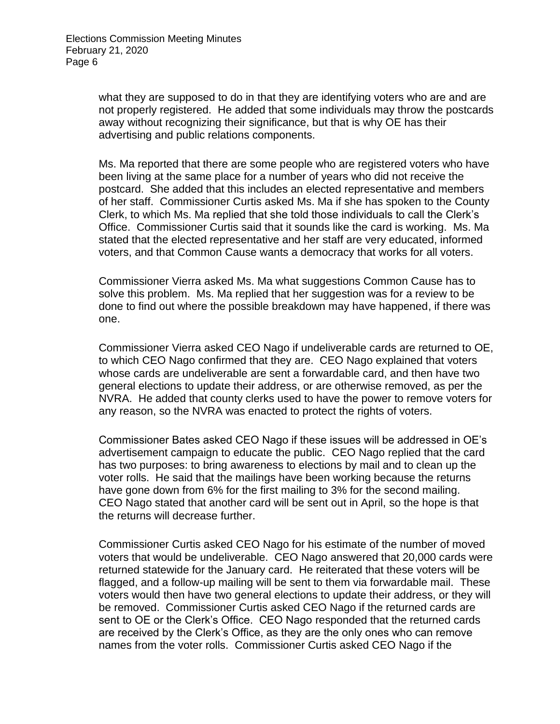what they are supposed to do in that they are identifying voters who are and are not properly registered. He added that some individuals may throw the postcards away without recognizing their significance, but that is why OE has their advertising and public relations components.

Ms. Ma reported that there are some people who are registered voters who have been living at the same place for a number of years who did not receive the postcard. She added that this includes an elected representative and members of her staff. Commissioner Curtis asked Ms. Ma if she has spoken to the County Clerk, to which Ms. Ma replied that she told those individuals to call the Clerk's Office. Commissioner Curtis said that it sounds like the card is working. Ms. Ma stated that the elected representative and her staff are very educated, informed voters, and that Common Cause wants a democracy that works for all voters.

Commissioner Vierra asked Ms. Ma what suggestions Common Cause has to solve this problem. Ms. Ma replied that her suggestion was for a review to be done to find out where the possible breakdown may have happened, if there was one.

Commissioner Vierra asked CEO Nago if undeliverable cards are returned to OE, to which CEO Nago confirmed that they are. CEO Nago explained that voters whose cards are undeliverable are sent a forwardable card, and then have two general elections to update their address, or are otherwise removed, as per the NVRA. He added that county clerks used to have the power to remove voters for any reason, so the NVRA was enacted to protect the rights of voters.

Commissioner Bates asked CEO Nago if these issues will be addressed in OE's advertisement campaign to educate the public. CEO Nago replied that the card has two purposes: to bring awareness to elections by mail and to clean up the voter rolls. He said that the mailings have been working because the returns have gone down from 6% for the first mailing to 3% for the second mailing. CEO Nago stated that another card will be sent out in April, so the hope is that the returns will decrease further.

Commissioner Curtis asked CEO Nago for his estimate of the number of moved voters that would be undeliverable. CEO Nago answered that 20,000 cards were returned statewide for the January card. He reiterated that these voters will be flagged, and a follow-up mailing will be sent to them via forwardable mail. These voters would then have two general elections to update their address, or they will be removed. Commissioner Curtis asked CEO Nago if the returned cards are sent to OE or the Clerk's Office. CEO Nago responded that the returned cards are received by the Clerk's Office, as they are the only ones who can remove names from the voter rolls. Commissioner Curtis asked CEO Nago if the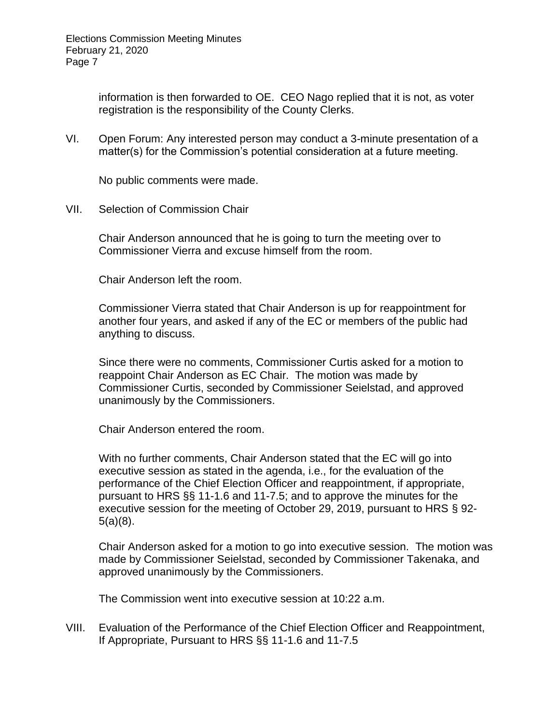information is then forwarded to OE. CEO Nago replied that it is not, as voter registration is the responsibility of the County Clerks.

VI. Open Forum: Any interested person may conduct a 3-minute presentation of a matter(s) for the Commission's potential consideration at a future meeting.

No public comments were made.

VII. Selection of Commission Chair

Chair Anderson announced that he is going to turn the meeting over to Commissioner Vierra and excuse himself from the room.

Chair Anderson left the room.

Commissioner Vierra stated that Chair Anderson is up for reappointment for another four years, and asked if any of the EC or members of the public had anything to discuss.

Since there were no comments, Commissioner Curtis asked for a motion to reappoint Chair Anderson as EC Chair. The motion was made by Commissioner Curtis, seconded by Commissioner Seielstad, and approved unanimously by the Commissioners.

Chair Anderson entered the room.

With no further comments, Chair Anderson stated that the EC will go into executive session as stated in the agenda, i.e., for the evaluation of the performance of the Chief Election Officer and reappointment, if appropriate, pursuant to HRS §§ 11-1.6 and 11-7.5; and to approve the minutes for the executive session for the meeting of October 29, 2019, pursuant to HRS § 92- 5(a)(8).

Chair Anderson asked for a motion to go into executive session. The motion was made by Commissioner Seielstad, seconded by Commissioner Takenaka, and approved unanimously by the Commissioners.

The Commission went into executive session at 10:22 a.m.

VIII. Evaluation of the Performance of the Chief Election Officer and Reappointment, If Appropriate, Pursuant to HRS §§ 11-1.6 and 11-7.5